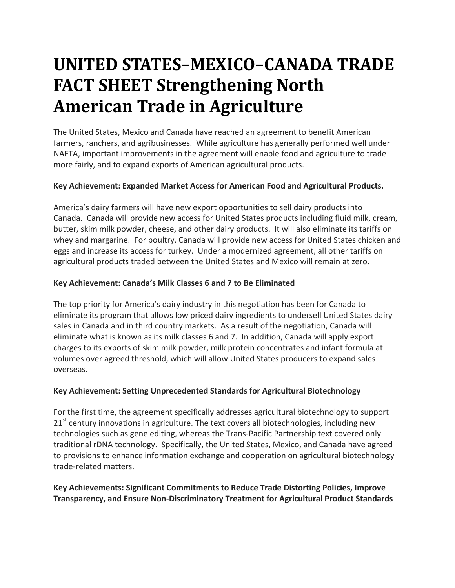# **UNITED STATES–MEXICO–CANADA TRADE FACT SHEET Strengthening North American Trade in Agriculture**

The United States, Mexico and Canada have reached an agreement to benefit American farmers, ranchers, and agribusinesses. While agriculture has generally performed well under NAFTA, important improvements in the agreement will enable food and agriculture to trade more fairly, and to expand exports of American agricultural products.

# **Key Achievement: Expanded Market Access for American Food and Agricultural Products.**

America's dairy farmers will have new export opportunities to sell dairy products into Canada. Canada will provide new access for United States products including fluid milk, cream, butter, skim milk powder, cheese, and other dairy products. It will also eliminate its tariffs on whey and margarine. For poultry, Canada will provide new access for United States chicken and eggs and increase its access for turkey. Under a modernized agreement, all other tariffs on agricultural products traded between the United States and Mexico will remain at zero.

# **Key Achievement: Canada's Milk Classes 6 and 7 to Be Eliminated**

The top priority for America's dairy industry in this negotiation has been for Canada to eliminate its program that allows low priced dairy ingredients to undersell United States dairy sales in Canada and in third country markets. As a result of the negotiation, Canada will eliminate what is known as its milk classes 6 and 7. In addition, Canada will apply export charges to its exports of skim milk powder, milk protein concentrates and infant formula at volumes over agreed threshold, which will allow United States producers to expand sales overseas.

## **Key Achievement: Setting Unprecedented Standards for Agricultural Biotechnology**

For the first time, the agreement specifically addresses agricultural biotechnology to support 21<sup>st</sup> century innovations in agriculture. The text covers all biotechnologies, including new technologies such as gene editing, whereas the Trans-Pacific Partnership text covered only traditional rDNA technology. Specifically, the United States, Mexico, and Canada have agreed to provisions to enhance information exchange and cooperation on agricultural biotechnology trade-related matters.

## **Key Achievements: Significant Commitments to Reduce Trade Distorting Policies, Improve Transparency, and Ensure Non-Discriminatory Treatment for Agricultural Product Standards**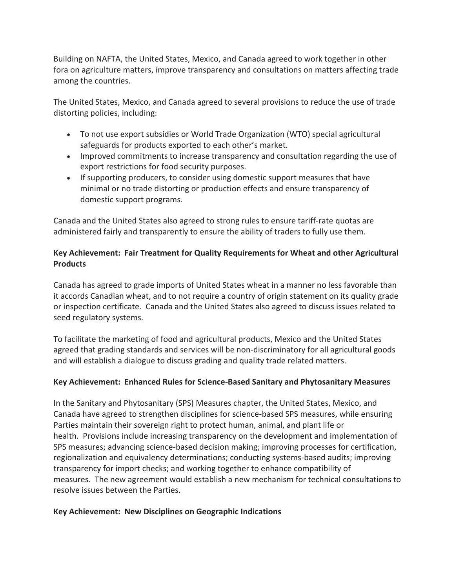Building on NAFTA, the United States, Mexico, and Canada agreed to work together in other fora on agriculture matters, improve transparency and consultations on matters affecting trade among the countries.

The United States, Mexico, and Canada agreed to several provisions to reduce the use of trade distorting policies, including:

- To not use export subsidies or World Trade Organization (WTO) special agricultural safeguards for products exported to each other's market.
- Improved commitments to increase transparency and consultation regarding the use of export restrictions for food security purposes.
- If supporting producers, to consider using domestic support measures that have minimal or no trade distorting or production effects and ensure transparency of domestic support programs.

Canada and the United States also agreed to strong rules to ensure tariff-rate quotas are administered fairly and transparently to ensure the ability of traders to fully use them.

## **Key Achievement: Fair Treatment for Quality Requirements for Wheat and other Agricultural Products**

Canada has agreed to grade imports of United States wheat in a manner no less favorable than it accords Canadian wheat, and to not require a country of origin statement on its quality grade or inspection certificate. Canada and the United States also agreed to discuss issues related to seed regulatory systems.

To facilitate the marketing of food and agricultural products, Mexico and the United States agreed that grading standards and services will be non-discriminatory for all agricultural goods and will establish a dialogue to discuss grading and quality trade related matters.

## **Key Achievement: Enhanced Rules for Science-Based Sanitary and Phytosanitary Measures**

In the Sanitary and Phytosanitary (SPS) Measures chapter, the United States, Mexico, and Canada have agreed to strengthen disciplines for science-based SPS measures, while ensuring Parties maintain their sovereign right to protect human, animal, and plant life or health. Provisions include increasing transparency on the development and implementation of SPS measures; advancing science-based decision making; improving processes for certification, regionalization and equivalency determinations; conducting systems-based audits; improving transparency for import checks; and working together to enhance compatibility of measures. The new agreement would establish a new mechanism for technical consultations to resolve issues between the Parties.

## **Key Achievement: New Disciplines on Geographic Indications**